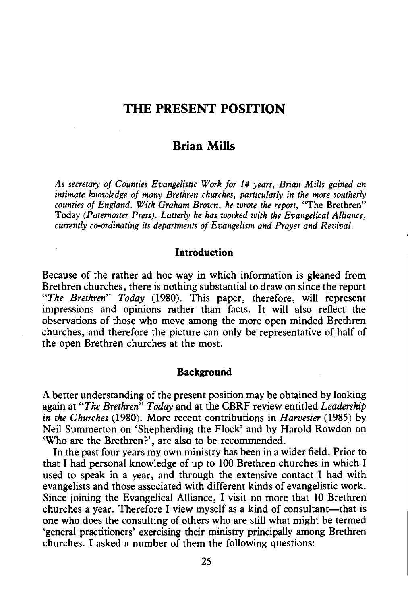# **THE PRESENT POSITION**

# **Brian Mills**

*As secretary of Counties Evangelistic Work for 14 years, Brian Mills gained an intimate knowledge of many Brethren churches, particularly in the more southerly counties of England. With Graham Brown, he wrote the report,* "The Brethren" Today *(Paternoster Press). Latterly he has worked with the Evangelical Alliance, currently co-ordinating its departments of Evangelism and Prayer and Revival.* 

### **Introduction**

Because of the rather ad hoc way in which information is gleaned from Brethren churches, there is nothing substantial to draw on since the report *"The Brethren" Today* (1980). This paper, therefore, will represent impressions and opinions rather than facts. It will also reflect the observations of those who move among the more open minded Brethren churches, and therefore the picture can only be representative of half of the open Brethren churches at the most.

#### **Background**

A better understanding of the present position may be obtained by looking again at *"The Brethren" Today* and at the CBRF review entitled *Leadership in the Churches* (1980). More recent contributions in *Harvester* (1985) by Neil Summerton on 'Shepherding the Flock' and by Harold Rowdon on 'Who are the Brethren?', are also to be recommended.

In the past four years my own ministry has been in a wider field. Prior to that I had personal knowledge of up to 100 Brethren churches in which I used to speak in a year, and through the extensive contact I had with evangelists and those associated with different kinds of evangelistic work. Since joining the Evangelical Alliance, I visit no more that 10 Brethren churches a year. Therefore I view myself as a kind of consultant-that is one who does the consulting of others who are still what might be termed 'general practitioners' exercising their ministry principally among Brethren churches. I asked a number of them the following questions: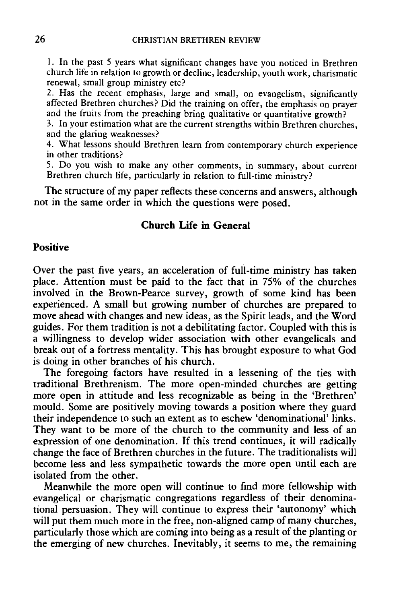1. In the past 5 years what significant changes have you noticed in Brethren church life in relation to growth or decline, leadership, youth work, charismatic renewal, small group ministry etc?

2. Has the recent emphasis, large and small, on evangelism, significantly affected Brethren churches? Did the training on offer, the emphasis on prayer and the fruits from the preaching bring qualitative or quantitative growth?

3. In your estimation what are the current strengths within Brethren churches, and the glaring weaknesses?

4. What lessons should Brethren learn from contemporary church experience in other traditions?

5. Do you wish to make any other comments, in summary, about current Brethren church life, particularly in relation to full-time ministry?

The structure of my paper reflects these concerns and answers, although not in the same order in which the questions were posed.

# **Church Life in General**

#### **Positive**

Over the past five years, an acceleration of full-time ministry has taken place. Attention must be paid to the fact that in 75% of the churches involved in the Brown-Pearce survey, growth of some kind has been experienced. A small but growing number of churches are prepared to move ahead with changes and new ideas, as the Spirit leads, and the Word guides. For them tradition is not a debilitating factor. Coupled with this is a willingness to develop wider association with other evangelicals and break out of a fortress mentality. This has brought exposure to what God is doing in other branches of his church.

The foregoing factors have resulted in a lessening of the ties with traditional Brethrenism. The more open-minded churches are getting more open in attitude and less recognizable as being in the 'Brethren' mould. Some are positively moving towards a position where they guard their independence to such an extent as to eschew 'denominational' links. They want to be more of the church to the community and less of an expression of one denomination. If this trend continues, it will radically change the face of Brethren churches in the future. The traditionalists will become less and less sympathetic towards the more open until each are isolated from the other.

Meanwhile the more open will continue to find more fellowship with evangelical or charismatic congregations regardless of their denominational persuasion. They will continue to express their 'autonomy' which will put them much more in the free, non-aligned camp of many churches, particularly those which are coming into being as a result of the planting or the emerging of new churches. Inevitably, it seems to me, the remaining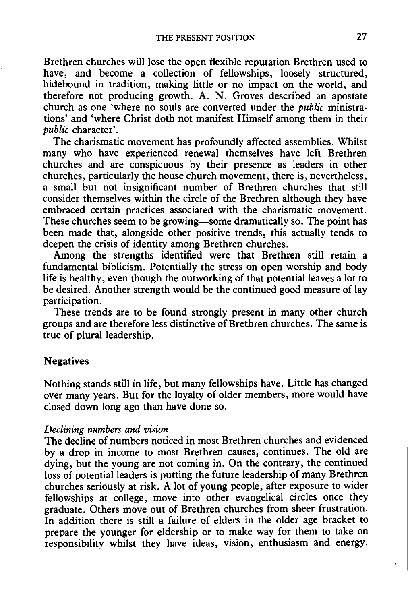Brethren churches will lose the open flexible reputation Brethren used to have, and become a collection of fellowships, loosely structured, hidebound in tradition, making little or no impact on the world, and therefore not producing growth. A. N. Groves described an apostate church as one 'where no souls are converted under the *public* ministrations' and 'where Christ doth not manifest Himself among them in their *public* character'.

The charismatic movement has profoundly affected assemblies. Whilst many who have experienced renewal themselves have left Brethren churches and are conspicuous by their presence as leaders in other churches, particularly the house church movement, there is, nevertheless, a small but not insignificant number of Brethren churches that still consider themselves within the circle of the Brethren although they have embraced certain practices associated with the charismatic movement. These churches seem to be growing—some dramatically so. The point has been made that, alongside other positive trends, this actually tends to deepen the crisis of identity among Brethren churches.

Among the strengths identified were that Brethren still retain a fundamental biblicism. Potentially the stress on open worship and body life is healthy, even though the outworking of that potential leaves a lot to be desired. Another strength would be the continued good measure of lay participation.

These trends are to be found strongly present in many other church groups and are therefore less distinctive of Brethren churches. The same is true of plural leadership.

### **Negatives**

Nothing stands still in life, but many fellowships have. Little has changed over many years. But for the loyalty of older members, more would have closed down long ago than have done so.

#### *Declining numbers and vision*

The decline of numbers noticed in most Brethren churches and evidenced by a drop in income to most Brethren causes, continues. The old are dying, but the young are not coming in. On the contrary, the continued loss of potential leaders is putting the future leadership of many Brethren churches seriously at risk. A lot of young people, after exposure to wider fellowships at college, move into other evangelical circles once they graduate. Others move out of Brethren churches from sheer frustration. In addition there is still a failure of elders in the older age bracket to prepare the younger for eldership or to make way for them to take on responsibility whilst they have ideas, vision, enthusiasm and energy.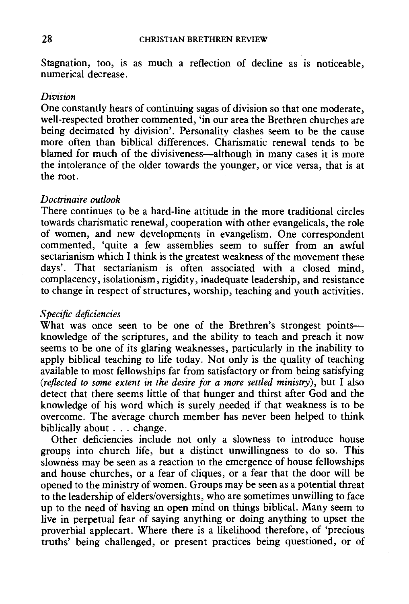Stagnation, too, is as much a reflection of decline as is noticeable, numerical decrease.

#### *Division*

One constantly hears of continuing sagas of division so that one moderate, well-respected brother commented, 'in our area the Brethren churches are being decimated by division'. Personality clashes seem to be the cause more often than biblical differences. Charismatic renewal tends to be blamed for much of the divisiveness—although in many cases it is more the intolerance of the older towards the younger, or vice versa, that is at the root.

### *Doctrinaire outlook*

There continues to be a hard-line attitude in the more traditional circles towards charismatic renewal, cooperation with other evangelicals, the role of women, and new developments in evangelism. One correspondent commented, 'quite a few assemblies seem to suffer from an awful sectarianism which I think is the greatest weakness of the movement these days'. That sectarianism is often associated with a closed mind, complacency, isolationism, rigidity, inadequate leadership, and resistance to change in respect of structures, worship, teaching and youth activities.

### *Specific deficiencies*

What was once seen to be one of the Brethren's strongest pointsknowledge of the scriptures, and the ability to teach and preach it now seems to be one of its glaring weaknesses, particularly in the inability to apply biblical teaching to life today. Not only is the quality of teaching available to most fellowships far from satisfactory or from being satisfying *(reflected to some extent in the desire for a more settled ministry),* but I also detect that there seems little of that hunger and thirst after God and the knowledge of his word which is surely needed if that weakness is to be overcome. The average church member has never been helped to think biblically about ... change.

Other deficiencies include not only a slowness to introduce house groups into church life, but a distinct unwillingness to do so. This slowness may be seen as a reaction to the emergence of house fellowships and house churches, or a fear of cliques, or a fear that the door will be opened to the ministry of women. Groups may be seen as a potential threat to the leadership of elders/oversights, who are sometimes unwilling to face up to the need of having an open mind on things biblical. Many seem to live in perpetual fear of saying anything or doing anything to upset the proverbial applecart. Where there is a likelihood therefore, of 'precious truths' being challenged, or present practices being questioned, or of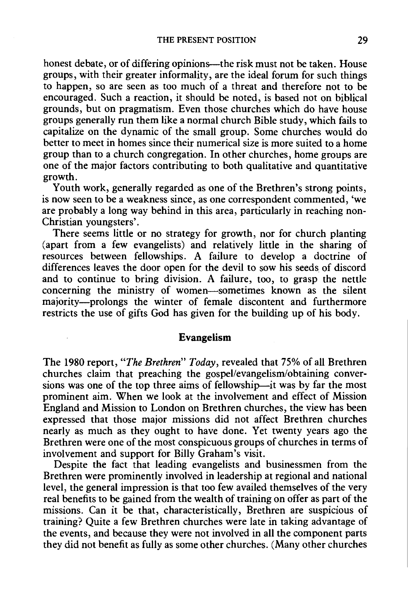honest debate, or of differing opinions—the risk must not be taken. House groups, with their greater informality, are the ideal forum for such things to happen, so are seen as too much of a threat and therefore not to be encouraged. Such a reaction, it should be noted, is based not on biblical grounds, but on pragmatism. Even those churches which do have house groups generally run them like a normal church Bible study, which fails to capitalize on the dynamic of the small group. Some churches would do better to meet in homes since their numerical size is more suited to a home group than to a church congregation. In other churches, home groups are one of the major factors contributing to both qualitative and quantitative growth.

Youth work, generally regarded as one of the Brethren's strong points. is now seen to be a weakness since, as one correspondent commented, 'we are probably a long way behind in this area, particularly in reaching non-Christian youngsters'.

There seems little or no strategy for growth, nor for church planting (apart from a few evangelists) and relatively little in the sharing of resources between fellowships. A failure to develop a doctrine of differences leaves the door open for the devil to sow his seeds of discord and to continue to bring division. A failure, too, to grasp the nettle concerning the ministry of women-sometimes known as the silent majority-prolongs the winter of female discontent and furthermore restricts the use of gifts God has given for the building up of his body.

# **Evangelism**

The 1980 report, *"The Brethren" Today,* revealed that 75% of all Brethren churches claim that preaching the gospel/evangelism/obtaining conversions was one of the top three aims of fellowship-it was by far the most prominent aim. When we look at the involvement and effect of Mission England and Mission to London on Brethren churches, the view has been expressed that those major missions did not affect Brethren churches nearly as much as they ought to have done. Yet twenty years ago the Brethren were one of the most conspicuous groups of churches in terms of involvement and support for Billy Graham's visit.

Despite the fact that leading evangelists and businessmen from the Brethren were prominently involved in leadership at regional and national level, the general impression is that too few availed themselves of the very real benefits to be gained from the wealth of training on offer as part of the missions. Can it be that, characteristically, Brethren are suspicious of training? Quite a few Brethren churches were late in taking advantage of the events, and because they were not involved in all the component parts they did not benefit as fully as some other churches. (Many other churches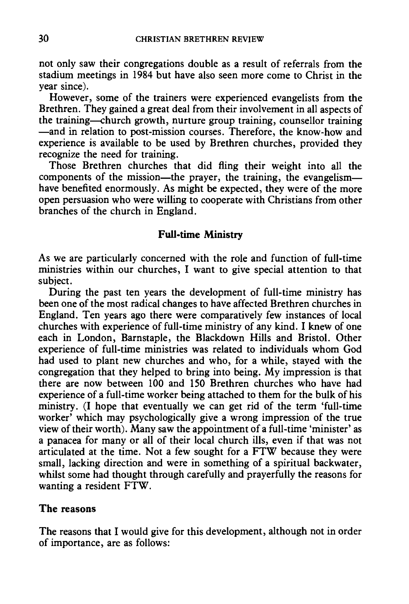not only saw their congregations double as a result of referrals from the stadium meetings in 1984 but have also seen more come to Christ in the year since).

However, some of the trainers were experienced evangelists from the Brethren. They gained a great deal from their involvement in all aspects of the training--church growth, nurture group training, counsellor training -and in relation to post-mission courses. Therefore, the know-how and experience is available to be used by Brethren churches, provided they recognize the need for training.

Those Brethren churches that did fling their weight into all the components of the mission-the prayer, the training, the evangelismhave benefited enormously. As might be expected, they were of the more open persuasion who were willing to cooperate with Christians from other branches of the church in England.

### Full-time Ministry

As we are particularly concerned with the role and function of full-time ministries within our churches, I want to give special attention to that subject.

During the past ten years the development of full-time ministry has been one of the most radical changes to have affected Brethren churches in England. Ten years ago there were comparatively few instances of local churches with experience of full-time ministry of any kind. I knew of one each in London, Barnstaple, the Blackdown Hills and Bristol. Other experience of full-time ministries was related to individuals whom God had used to plant new churches and who, for a while, stayed with the congregation that they helped to bring into being. My impression is that there are now between 100 and 150 Brethren churches who have had experience of a full-time worker being attached to them for the bulk of his ministry. (I hope that eventually we can get rid of the term 'full-time worker' which may psychologically give a wrong impression of the true view of their worth). Many saw the appointment of a full-time 'minister' as a panacea for many or all of their local church ills, even if that was not articulated at the time. Not a few sought for a FTW because they were small, lacking direction and were in something of a spiritual backwater, whilst some had thought through carefully and prayerfully the reasons for wanting a resident FTW.

### The reasons

The reasons that I would give for this development, although not in order of importance, are as follows: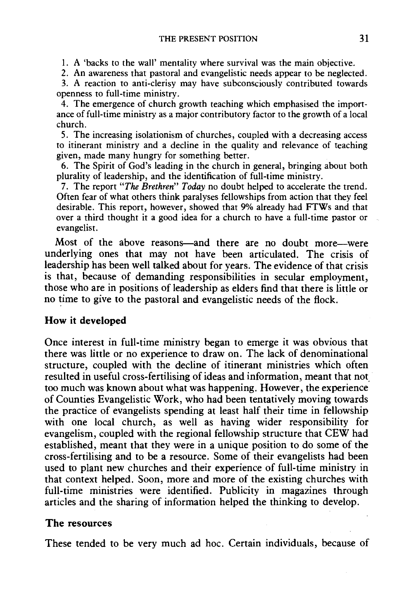1. A 'backs to the wall' mentality where survival was the main objective.

2. An awareness that pastoral and evangelistic needs appear to be neglected.

3. A reaction to anti-clerisy may have subconsciously contributed towards openness to full-time ministry.

4. The emergence of church growth teaching which emphasised the importance of full-time ministry as a major contributory factor to the growth of a local church.

5. The increasing isolationism of churches, coupled with a decreasing access to itinerant ministry and a decline in the quality and relevance of teaching given, made many hungry for something better.

6. The Spirit of God's leading in the church in general, bringing about both plurality of leadership, and the identification of full-time ministry.

7. The report *"The Brethren" Today* no doubt helped to accelerate the trend. Often fear of what others think paralyses fellowships from action that they feel desirable. This report, however, showed that 9% already had FTWs and that over a third thought it a good idea for a church to have a full-time pastor or evangelist.

Most of the above reasons-and there are no doubt more-were underlying ones that may not have been articulated. The crisis of leadership has been well talked about for years. The evidence of that crisis is that, because of demanding responsibilities in secular employment, those who are in positions of leadership as elders find that there is little or no time to give to the pastoral and evangelistic needs of the flock.

## **How it developed**

Once interest in full-time ministry began to emerge it was obvious that there was little or no experience to draw on. The lack of denominational structure, coupled with the decline of itinerant ministries which often resulted in useful cross-fertilising of ideas and information, meant that not. too much was known about what was happening. However, the experience of Counties Evangelistic Work, who had been tentatively moving towards the practice of evangelists spending at least half their time in fellowship with one local church, as well as having wider responsibility for evangelism, coupled with the regional fellowship structure that CEW had established, meant that they were in a unique position to do some of the cross-fertilising and to be a resource. Some of their evangelists had been used to plant new churches and their experience of full-time ministry in that context helped. Soon, more and more of the existing churches with full-time ministries were identified. Publicity in magazines through articles and the sharing of information helped the thinking to develop.

## **The** resources

These tended to be very much ad hoc. Certain individuals, because of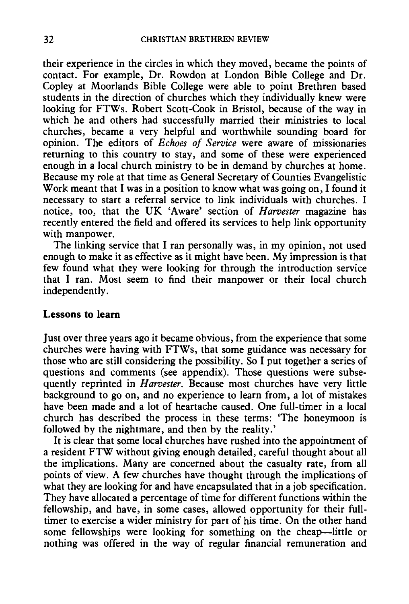their experience in the circles in which they moved, became the points of contact. For example, Dr. Rowdon at London Bible College and Dr. Copley at Moorlands Bible College were able to point Brethren based students in the direction of churches which they individually knew were looking for FTWs. Robert Scott-Cook in Bristol, because of the way in which he and others had successfully married their ministries to local churches, became a very helpful and worthwhile sounding board for opinion. The editors of *Echoes of Service* were aware of missionaries returning to this country to stay, and some of these were experienced enough in a local church ministry to be in demand by churches at home. Because my role at that time as General Secretary of Counties Evangelistic Work meant that I was in a position to know what was going on, I found it necessary to start a referral service to link individuals with churches. I notice, too, that the UK 'Aware' section of *Harvester* magazine has recently entered the field and offered its services to help link opportunity with manpower.

The linking service that I ran personally was, in my opinion, not used enough to make it as effective as it might have been. My impression is that few found what they were looking for through the introduction service that I ran. Most seem to find their manpower or their local church independently.

## **Lessons to learn**

Just over three years ago it became obvious, from the experience that some churches were having with FTWs, that some guidance was necessary for those who are still considering the possibility. So I put together a series of questions and comments (see appendix). Those questions were subsequently reprinted in *Harvester.* Because most churches have very little background to go on, and no experience to learn from, a lot of mistakes have been made and a lot of heartache caused. One full-timer in a local church has described the process in these terms: 'The honeymoon is followed by the nightmare, and then by the reality.'

It is clear that some local churches have rushed into the appointment of a resident FTW without giving enough detailed, careful thought about all the implications. Many are concerned about the casualty rate, from all points of view. A few churches have thought through the implications of what they are looking for and have encapsulated that in a job specification. They have allocated a percentage of time for different functions within the fellowship, and have, in some cases, allowed opportunity for their fulltimer to exercise a wider ministry for part of his time. On the other hand some fellowships were looking for something on the cheap-little or nothing was offered in the way of regular financial remuneration and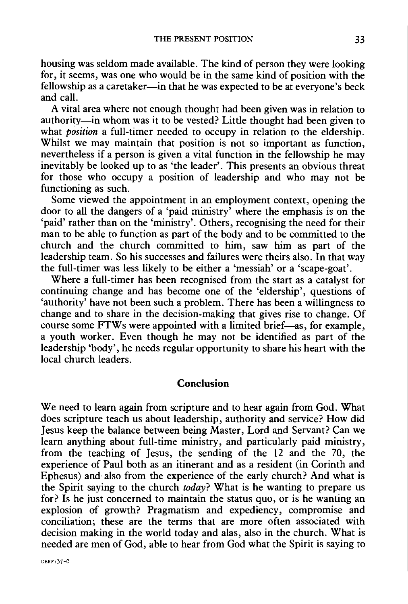housing was seldom made available. The kind of person they were looking for, it seems, was one who would be in the same kind of position with the fellowship as a caretaker—in that he was expected to be at everyone's beck and call.

A vital area where not enough thought had been given was in relation to authority-in whom was it to be vested? Little thought had been given to what *position* a full-timer needed to occupy in relation to the eldership. Whilst we may maintain that position is not so important as function, nevertheless if a person is given a vital function in the fellowship he may inevitably be looked up to as 'the leader'. This presents an obvious threat for those who occupy a position of leadership and who may not be functioning as such.

Some viewed the appointment in an employment context, opening the door to all the dangers of a 'paid ministry' where the emphasis is on the 'paid' rather than on the 'ministry'. Others, recognising the need for their man to be able to function as part of the body and to be committed to the church and the church committed to him, saw him as part of the leadership team. So his successes and failures were theirs also. In that way the full-timer was less likely to be either a 'messiah' or a 'scape-goat'.

Where a full-timer has been recognised from the start as a catalyst for continuing change and has become one of the 'eldership', questions of 'authority' have not been such a problem. There has been a willingness to change and to share in the decision-making that gives rise to change. Of course some FTWs were appointed with a limited brief-as, for example, a youth worker. Even though he may not be identified as part of the leadership 'body', he needs regular opportunity to share his heart with the local church leaders.

### Conclusion

We need to learn again from scripture and to hear again from God. What does scripture teach us about leadership, authority and service? How did Jesus keep the balance between being Master, Lord and Servant? Can we learn anything about full-time ministry, and particularly paid ministry, from the teaching of Jesus, the sending of the 12 and the 70, the experience of Paul both as an itinerant and as a resident (in Corinth and Ephesus) and· also from the experience of the early church? And what is the Spirit saying to the church *today?* What is he wanting to prepare us for? Is he just concerned to maintain the status quo, or is he wanting an explosion of growth? Pragmatism and expediency, compromise and conciliation; these are the terms that are more often associated with decision making in the world today and alas, also in the church. What is needed are men of God, able to hear from God what the Spirit is saying to

CBRF:37-C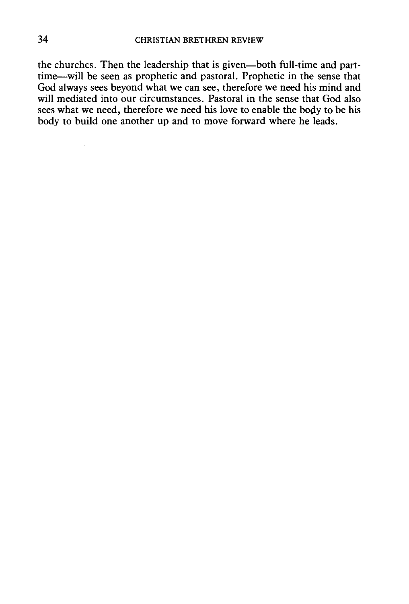the churches. Then the leadership that is given-both full-time and parttime-will be seen as prophetic and pastoral. Prophetic in the sense that God always sees beyond what we can see, therefore we need his mind and will mediated into our circumstances. Pastoral in the sense that God also sees what we need, therefore we need his love to enable the body to be his body to build one another up and to move forward where he leads.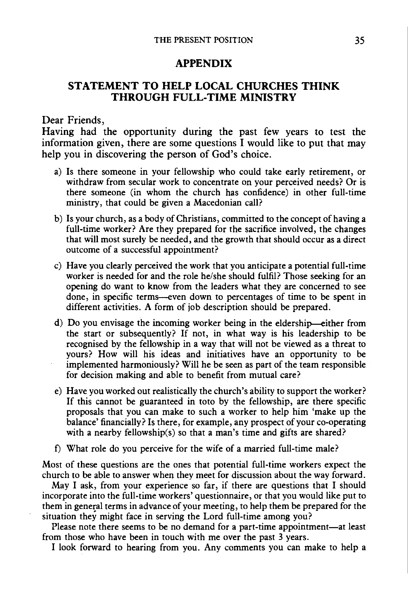#### **APPENDIX**

# **STATEMENT TO HELP LOCAL CHURCHES THINK THROUGH FULL-TIME MINISTRY**

#### Dear Friends,

Having had the opportunity during the past few years to test the information given, there are some questions  $\overline{I}$  would like to put that may help you in discovering the person of God's choice.

- a) Is there someone in your fellowship who could take early retirement, or withdraw from secular work to concentrate on your perceived needs? Or is there someone (in whom the church has confidence) in other full-time ministry, that could be given a Macedonian call?
- b) Is your church, as a body of Christians, committed to the concept of having a full-time worker? Are they prepared for the sacrifice involved, the changes that will most surely be needed, and the growth that should occur as a direct outcome of a successful appointment?
- c) Have you clearly perceived the work that you anticipate a potential full-time worker is needed for and the role he/she should fulfil? Those seeking for an opening do want to know from the leaders what they are concerned to see done, in specific terms--even down to percentages of time to be spent in different activities. A form of job description should be prepared.
- d) Do you envisage the incoming worker being in the eldership-either from the start or subsequently? If not, in what way is his leadership to be recognised by the fellowship in a way that will not be viewed as a threat to yours? How will his ideas and initiatives have an opportunity to be implemented harmoniously? Will he be seen as part of the team responsible for decision making and able to benefit from mutual care?
- e) Have you worked out realistically the church's ability to support the worker? If this cannot be guaranteed in toto by the fellowship, are there specific proposals that you can make to such a worker to help him 'make up the balance' financially? Is there, for example, any prospect of your co-operating with a nearby fellowship(s) so that a man's time and gifts are shared?
- f) What role do you perceive for the wife of a married full-time male?

Most of these questions are the ones that potential full-time workers expect the church to be able to answer when they meet for discussion about the way forward.

May I ask, from your experience so far, if there are questions that I should incorporate into the full-time workers' questionnaire, or that you would like put to them in general terms in advance of your meeting, to help them be prepared for the situation they might face in serving the Lord full-time among you?

Please note there seems to be no demand for a part-time appointment-at least from those who have been in touch with me over the past 3 years.

I look forward to hearing from you. Any comments you can make to help a